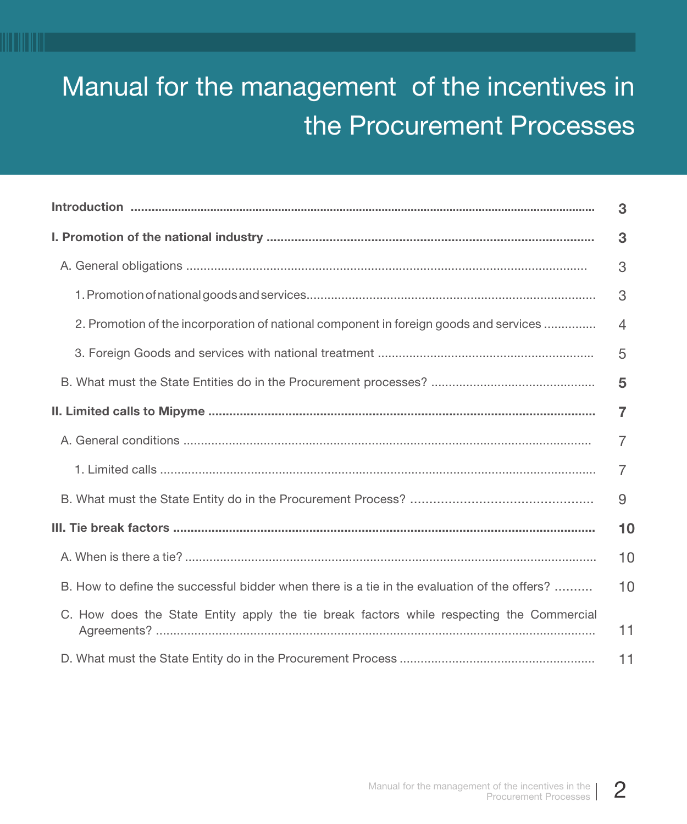# Manual for the management of the incentives in the Procurement Processes

|                                                                                             | 3  |
|---------------------------------------------------------------------------------------------|----|
|                                                                                             | 3  |
|                                                                                             | 3  |
|                                                                                             | 3  |
| 2. Promotion of the incorporation of national component in foreign goods and services       | 4  |
|                                                                                             | 5  |
|                                                                                             | 5  |
|                                                                                             | 7  |
|                                                                                             | 7  |
|                                                                                             | 7  |
|                                                                                             | 9  |
|                                                                                             | 10 |
|                                                                                             | 10 |
| B. How to define the successful bidder when there is a tie in the evaluation of the offers? | 10 |
| C. How does the State Entity apply the tie break factors while respecting the Commercial    | 11 |
|                                                                                             | 11 |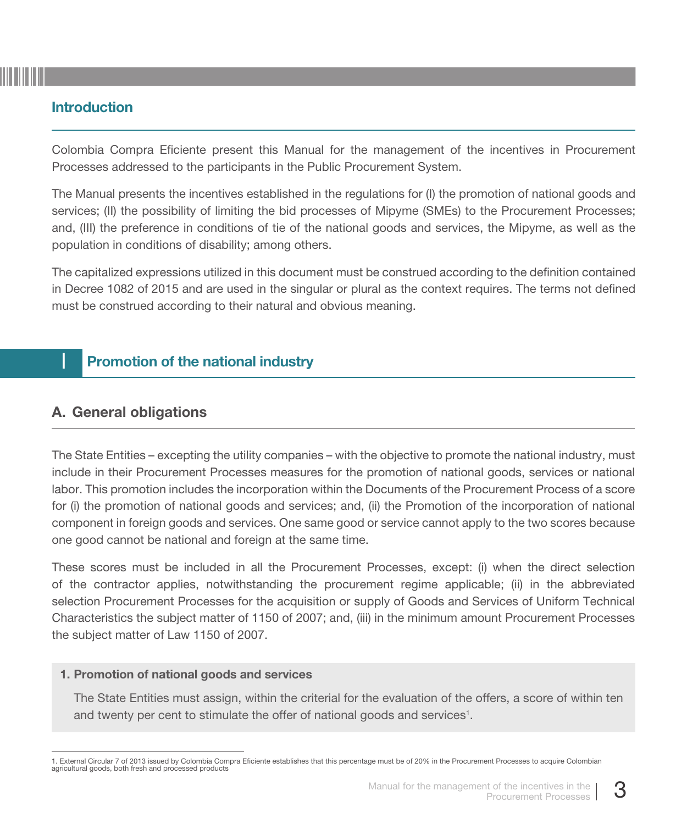## Introduction

Colombia Compra Eficiente present this Manual for the management of the incentives in Procurement Processes addressed to the participants in the Public Procurement System.

The Manual presents the incentives established in the regulations for (I) the promotion of national goods and services; (II) the possibility of limiting the bid processes of Mipyme (SMEs) to the Procurement Processes; and, (III) the preference in conditions of tie of the national goods and services, the Mipyme, as well as the population in conditions of disability; among others.

The capitalized expressions utilized in this document must be construed according to the definition contained in Decree 1082 of 2015 and are used in the singular or plural as the context requires. The terms not defined must be construed according to their natural and obvious meaning.

# **Promotion of the national industry**

## A. General obligations

The State Entities – excepting the utility companies – with the objective to promote the national industry, must include in their Procurement Processes measures for the promotion of national goods, services or national labor. This promotion includes the incorporation within the Documents of the Procurement Process of a score for (i) the promotion of national goods and services; and, (ii) the Promotion of the incorporation of national component in foreign goods and services. One same good or service cannot apply to the two scores because one good cannot be national and foreign at the same time.

These scores must be included in all the Procurement Processes, except: (i) when the direct selection of the contractor applies, notwithstanding the procurement regime applicable; (ii) in the abbreviated selection Procurement Processes for the acquisition or supply of Goods and Services of Uniform Technical Characteristics the subject matter of 1150 of 2007; and, (iii) in the minimum amount Procurement Processes the subject matter of Law 1150 of 2007.

#### 1. Promotion of national goods and services

The State Entities must assign, within the criterial for the evaluation of the offers, a score of within ten and twenty per cent to stimulate the offer of national goods and services<sup>1</sup>.

<sup>1.</sup> External Circular 7 of 2013 issued by Colombia Compra Eficiente establishes that this percentage must be of 20% in the Procurement Processes to acquire Colombian agricultural goods, both fresh and processed products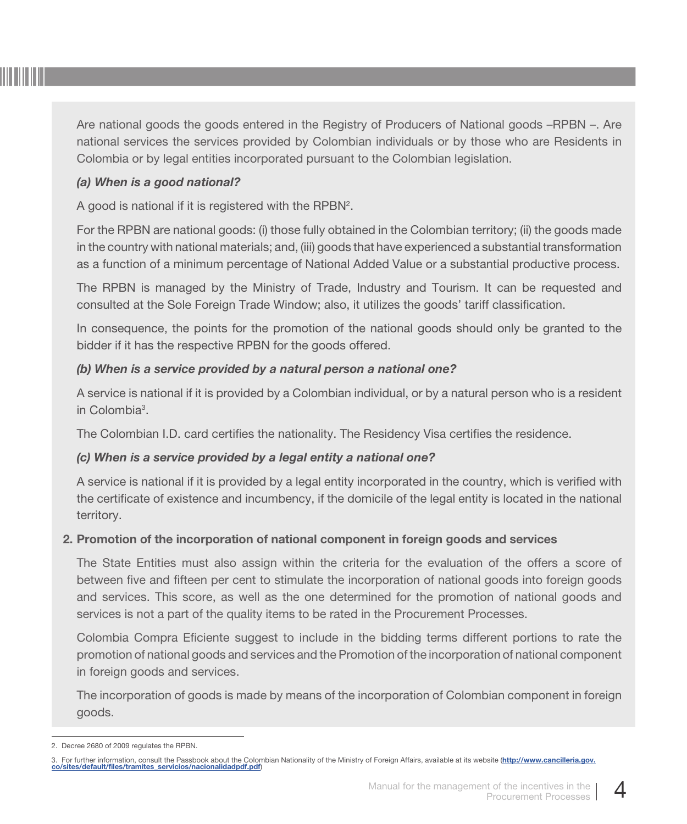

Are national goods the goods entered in the Registry of Producers of National goods –RPBN –. Are national services the services provided by Colombian individuals or by those who are Residents in Colombia or by legal entities incorporated pursuant to the Colombian legislation.

#### *(a) When is a good national?*

A good is national if it is registered with the RPBN<sup>2</sup>.

For the RPBN are national goods: (i) those fully obtained in the Colombian territory; (ii) the goods made in the country with national materials; and, (iii) goods that have experienced a substantial transformation as a function of a minimum percentage of National Added Value or a substantial productive process.

The RPBN is managed by the Ministry of Trade, Industry and Tourism. It can be requested and consulted at the Sole Foreign Trade Window; also, it utilizes the goods' tariff classification.

In consequence, the points for the promotion of the national goods should only be granted to the bidder if it has the respective RPBN for the goods offered.

#### *(b) When is a service provided by a natural person a national one?*

A service is national if it is provided by a Colombian individual, or by a natural person who is a resident in Colombia<sup>3</sup>.

The Colombian I.D. card certifies the nationality. The Residency Visa certifies the residence.

#### *(c) When is a service provided by a legal entity a national one?*

A service is national if it is provided by a legal entity incorporated in the country, which is verified with the certificate of existence and incumbency, if the domicile of the legal entity is located in the national territory.

#### 2. Promotion of the incorporation of national component in foreign goods and services

The State Entities must also assign within the criteria for the evaluation of the offers a score of between five and fifteen per cent to stimulate the incorporation of national goods into foreign goods and services. This score, as well as the one determined for the promotion of national goods and services is not a part of the quality items to be rated in the Procurement Processes.

Colombia Compra Eficiente suggest to include in the bidding terms different portions to rate the promotion of national goods and services and the Promotion of the incorporation of national component in foreign goods and services.

The incorporation of goods is made by means of the incorporation of Colombian component in foreign goods.

<sup>2.</sup> Decree 2680 of 2009 regulates the RPBN.

<sup>3.</sup> [For further information, consult the Passbook about the Colombian Nationality of the Ministry of Foreign Affairs, available at its website \(](http://www.cancilleria.gov.co/sites/default/files/tramites_servicios/nacionalidadpdf.pdf)http://www.cancilleria.gov. co/sites/default/files/tramites\_servicios/nacionalidadpdf.pdf)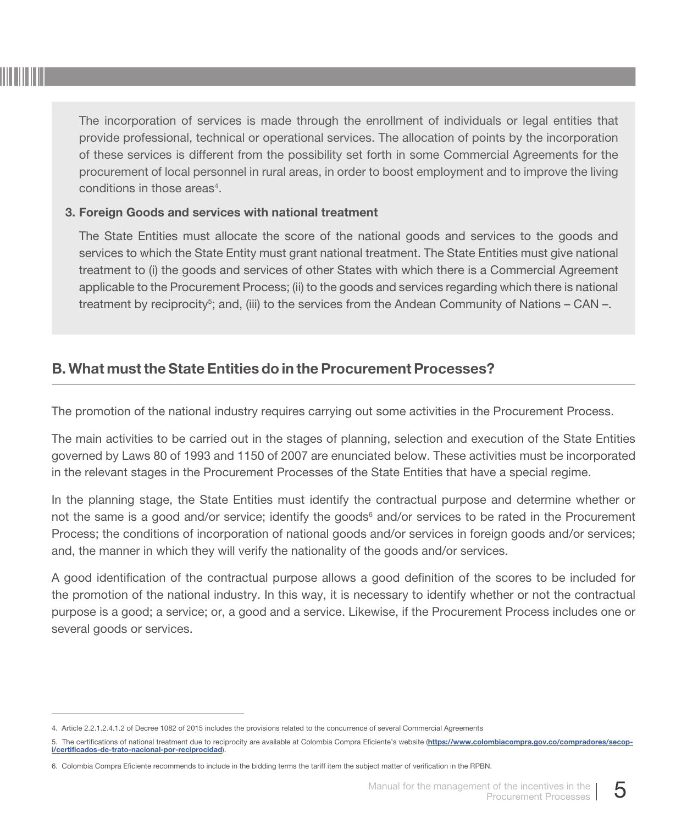

The incorporation of services is made through the enrollment of individuals or legal entities that provide professional, technical or operational services. The allocation of points by the incorporation of these services is different from the possibility set forth in some Commercial Agreements for the procurement of local personnel in rural areas, in order to boost employment and to improve the living conditions in those areas<sup>4</sup>.

#### 3. Foreign Goods and services with national treatment

The State Entities must allocate the score of the national goods and services to the goods and services to which the State Entity must grant national treatment. The State Entities must give national treatment to (i) the goods and services of other States with which there is a Commercial Agreement applicable to the Procurement Process; (ii) to the goods and services regarding which there is national treatment by reciprocity<sup>5</sup>; and, (iii) to the services from the Andean Community of Nations – CAN –.

## B. What must the State Entities do in the Procurement Processes?

The promotion of the national industry requires carrying out some activities in the Procurement Process.

The main activities to be carried out in the stages of planning, selection and execution of the State Entities governed by Laws 80 of 1993 and 1150 of 2007 are enunciated below. These activities must be incorporated in the relevant stages in the Procurement Processes of the State Entities that have a special regime.

In the planning stage, the State Entities must identify the contractual purpose and determine whether or not the same is a good and/or service; identify the goods<sup>6</sup> and/or services to be rated in the Procurement Process; the conditions of incorporation of national goods and/or services in foreign goods and/or services; and, the manner in which they will verify the nationality of the goods and/or services.

A good identification of the contractual purpose allows a good definition of the scores to be included for the promotion of the national industry. In this way, it is necessary to identify whether or not the contractual purpose is a good; a service; or, a good and a service. Likewise, if the Procurement Process includes one or several goods or services.

<sup>4.</sup> Article 2.2.1.2.4.1.2 of Decree 1082 of 2015 includes the provisions related to the concurrence of several Commercial Agreements

<sup>5.</sup> [The certifications of national treatment due to reciprocity are available at Colombia Compra Eficiente's website \(](https://www.colombiacompra.gov.co/compradores/secop-i/certificados-de-trato-nacional-por-reciprocidad)https://www.colombiacompra.gov.co/compradores/secopi/certificados-de-trato-nacional-por-reciprocidad).

<sup>6.</sup> Colombia Compra Eficiente recommends to include in the bidding terms the tariff item the subject matter of verification in the RPBN.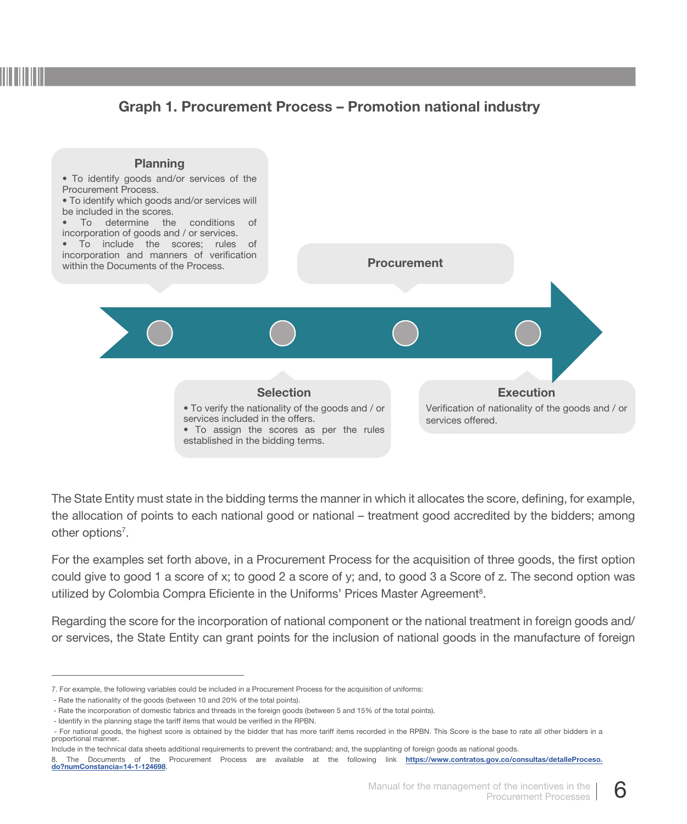## Graph 1. Procurement Process – Promotion national industry



The State Entity must state in the bidding terms the manner in which it allocates the score, defining, for example, the allocation of points to each national good or national – treatment good accredited by the bidders; among other options<sup>7</sup>.

For the examples set forth above, in a Procurement Process for the acquisition of three goods, the first option could give to good 1 a score of x; to good 2 a score of y; and, to good 3 a Score of z. The second option was utilized by Colombia Compra Eficiente in the Uniforms' Prices Master Agreement<sup>8</sup>.

Regarding the score for the incorporation of national component or the national treatment in foreign goods and/ or services, the State Entity can grant points for the inclusion of national goods in the manufacture of foreign

<sup>7.</sup> For example, the following variables could be included in a Procurement Process for the acquisition of uniforms:

<sup>-</sup> Rate the nationality of the goods (between 10 and 20% of the total points).

<sup>-</sup> Rate the incorporation of domestic fabrics and threads in the foreign goods (between 5 and 15% of the total points).

<sup>-</sup> Identify in the planning stage the tariff items that would be verified in the RPBN.

<sup>-</sup> For national goods, the highest score is obtained by the bidder that has more tariff items recorded in the RPBN. This Score is the base to rate all other bidders in a proportional manner.

Include in the technical data sheets additional requirements to prevent the contraband; and, the supplanting of foreign goods as national goods.

<sup>8.</sup> [The Documents of the Procurement Process are available at the following link](https://www.contratos.gov.co/consultas/detalleProceso.do?numConstancia=14-1-124698) https://www.contratos.gov.co/consultas/detalleProceso.<br>do?numConstancia=14-1-124698.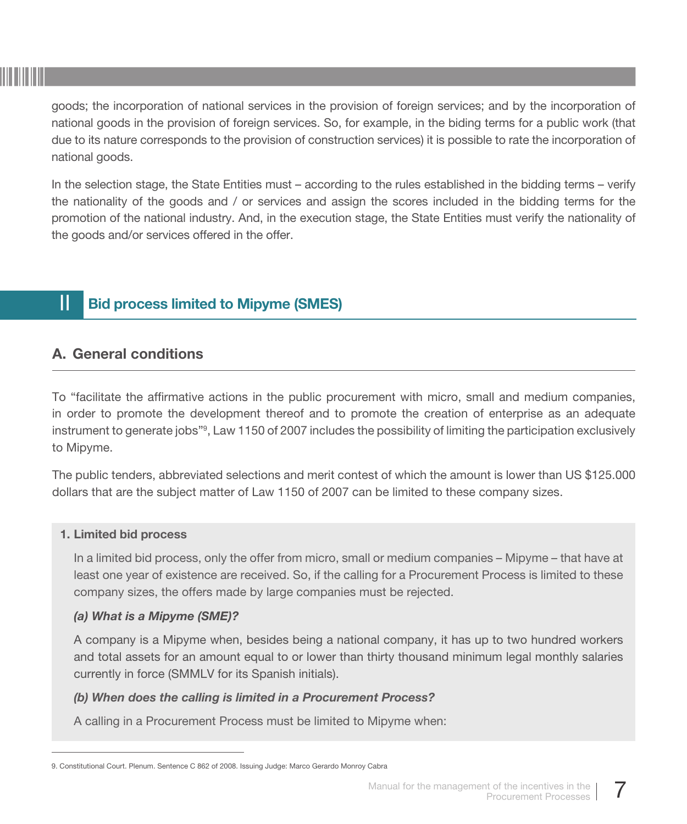

goods; the incorporation of national services in the provision of foreign services; and by the incorporation of national goods in the provision of foreign services. So, for example, in the biding terms for a public work (that due to its nature corresponds to the provision of construction services) it is possible to rate the incorporation of national goods.

In the selection stage, the State Entities must – according to the rules established in the bidding terms – verify the nationality of the goods and / or services and assign the scores included in the bidding terms for the promotion of the national industry. And, in the execution stage, the State Entities must verify the nationality of the goods and/or services offered in the offer.

# **II Bid process limited to Mipyme (SMES)**

## A. General conditions

To "facilitate the affirmative actions in the public procurement with micro, small and medium companies, in order to promote the development thereof and to promote the creation of enterprise as an adequate instrument to generate jobs"9 , Law 1150 of 2007 includes the possibility of limiting the participation exclusively to Mipyme.

The public tenders, abbreviated selections and merit contest of which the amount is lower than US \$125.000 dollars that are the subject matter of Law 1150 of 2007 can be limited to these company sizes.

#### 1. Limited bid process

In a limited bid process, only the offer from micro, small or medium companies – Mipyme – that have at least one year of existence are received. So, if the calling for a Procurement Process is limited to these company sizes, the offers made by large companies must be rejected.

#### *(a) What is a Mipyme (SME)?*

A company is a Mipyme when, besides being a national company, it has up to two hundred workers and total assets for an amount equal to or lower than thirty thousand minimum legal monthly salaries currently in force (SMMLV for its Spanish initials).

#### *(b) When does the calling is limited in a Procurement Process?*

A calling in a Procurement Process must be limited to Mipyme when:

<sup>9.</sup> Constitutional Court. Plenum. Sentence C 862 of 2008. Issuing Judge: Marco Gerardo Monroy Cabra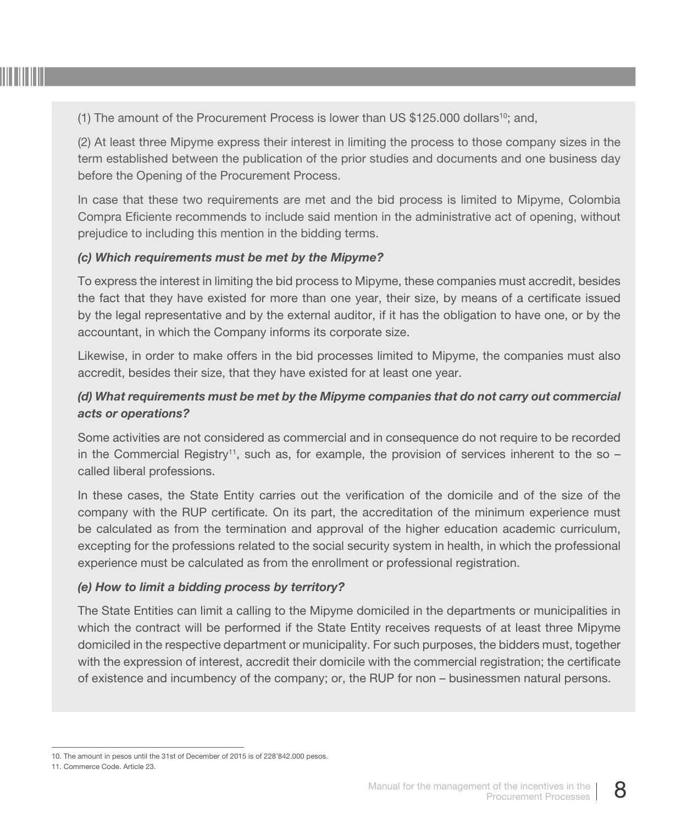

(1) The amount of the Procurement Process is lower than US  $$125.000$  dollars<sup>10</sup>; and,

(2) At least three Mipyme express their interest in limiting the process to those company sizes in the term established between the publication of the prior studies and documents and one business day before the Opening of the Procurement Process.

In case that these two requirements are met and the bid process is limited to Mipyme, Colombia Compra Eficiente recommends to include said mention in the administrative act of opening, without prejudice to including this mention in the bidding terms.

#### *(c) Which requirements must be met by the Mipyme?*

To express the interest in limiting the bid process to Mipyme, these companies must accredit, besides the fact that they have existed for more than one year, their size, by means of a certificate issued by the legal representative and by the external auditor, if it has the obligation to have one, or by the accountant, in which the Company informs its corporate size.

Likewise, in order to make offers in the bid processes limited to Mipyme, the companies must also accredit, besides their size, that they have existed for at least one year.

## *(d) What requirements must be met by the Mipyme companies that do not carry out commercial acts or operations?*

Some activities are not considered as commercial and in consequence do not require to be recorded in the Commercial Registry<sup>11</sup>, such as, for example, the provision of services inherent to the so  $$ called liberal professions.

In these cases, the State Entity carries out the verification of the domicile and of the size of the company with the RUP certificate. On its part, the accreditation of the minimum experience must be calculated as from the termination and approval of the higher education academic curriculum, excepting for the professions related to the social security system in health, in which the professional experience must be calculated as from the enrollment or professional registration.

#### *(e) How to limit a bidding process by territory?*

The State Entities can limit a calling to the Mipyme domiciled in the departments or municipalities in which the contract will be performed if the State Entity receives requests of at least three Mipyme domiciled in the respective department or municipality. For such purposes, the bidders must, together with the expression of interest, accredit their domicile with the commercial registration; the certificate of existence and incumbency of the company; or, the RUP for non – businessmen natural persons.

<sup>10.</sup> The amount in pesos until the 31st of December of 2015 is of 228'842.000 pesos.

<sup>11.</sup> Commerce Code. Article 23.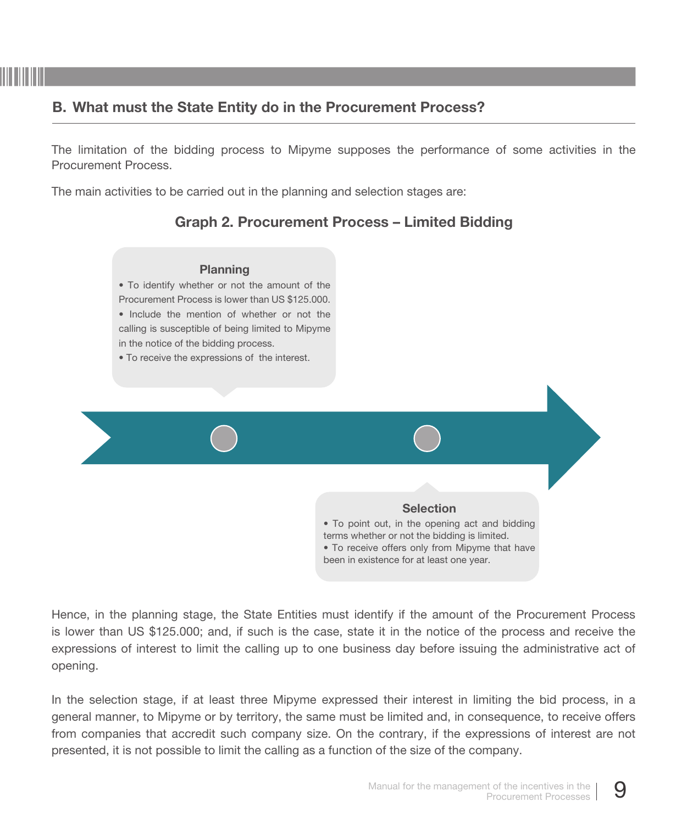# B. What must the State Entity do in the Procurement Process?

The limitation of the bidding process to Mipyme supposes the performance of some activities in the Procurement Process.

The main activities to be carried out in the planning and selection stages are:

# Graph 2. Procurement Process – Limited Bidding



Hence, in the planning stage, the State Entities must identify if the amount of the Procurement Process is lower than US \$125.000; and, if such is the case, state it in the notice of the process and receive the expressions of interest to limit the calling up to one business day before issuing the administrative act of opening.

In the selection stage, if at least three Mipyme expressed their interest in limiting the bid process, in a general manner, to Mipyme or by territory, the same must be limited and, in consequence, to receive offers from companies that accredit such company size. On the contrary, if the expressions of interest are not presented, it is not possible to limit the calling as a function of the size of the company.

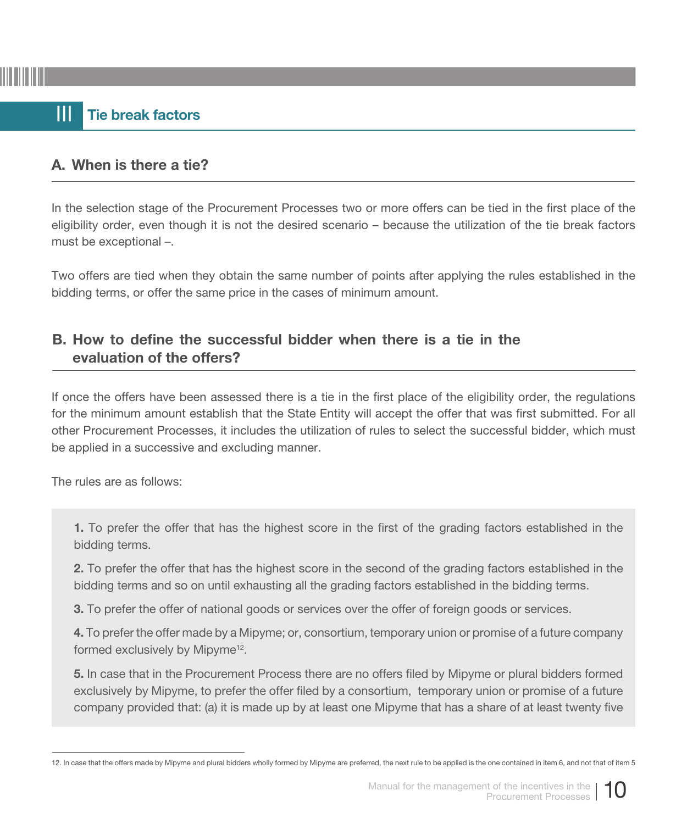# III Tie break factors

## A. When is there a tie?

In the selection stage of the Procurement Processes two or more offers can be tied in the first place of the eligibility order, even though it is not the desired scenario – because the utilization of the tie break factors must be exceptional –.

Two offers are tied when they obtain the same number of points after applying the rules established in the bidding terms, or offer the same price in the cases of minimum amount.

## B. How to define the successful bidder when there is a tie in the evaluation of the offers?

If once the offers have been assessed there is a tie in the first place of the eligibility order, the regulations for the minimum amount establish that the State Entity will accept the offer that was first submitted. For all other Procurement Processes, it includes the utilization of rules to select the successful bidder, which must be applied in a successive and excluding manner.

The rules are as follows:

1. To prefer the offer that has the highest score in the first of the grading factors established in the bidding terms.

2. To prefer the offer that has the highest score in the second of the grading factors established in the bidding terms and so on until exhausting all the grading factors established in the bidding terms.

3. To prefer the offer of national goods or services over the offer of foreign goods or services.

4. To prefer the offer made by a Mipyme; or, consortium, temporary union or promise of a future company formed exclusively by Mipyme<sup>12</sup>.

5. In case that in the Procurement Process there are no offers filed by Mipyme or plural bidders formed exclusively by Mipyme, to prefer the offer filed by a consortium, temporary union or promise of a future company provided that: (a) it is made up by at least one Mipyme that has a share of at least twenty five



<sup>12.</sup> In case that the offers made by Mipyme and plural bidders wholly formed by Mipyme are preferred, the next rule to be applied is the one contained in item 6, and not that of item 5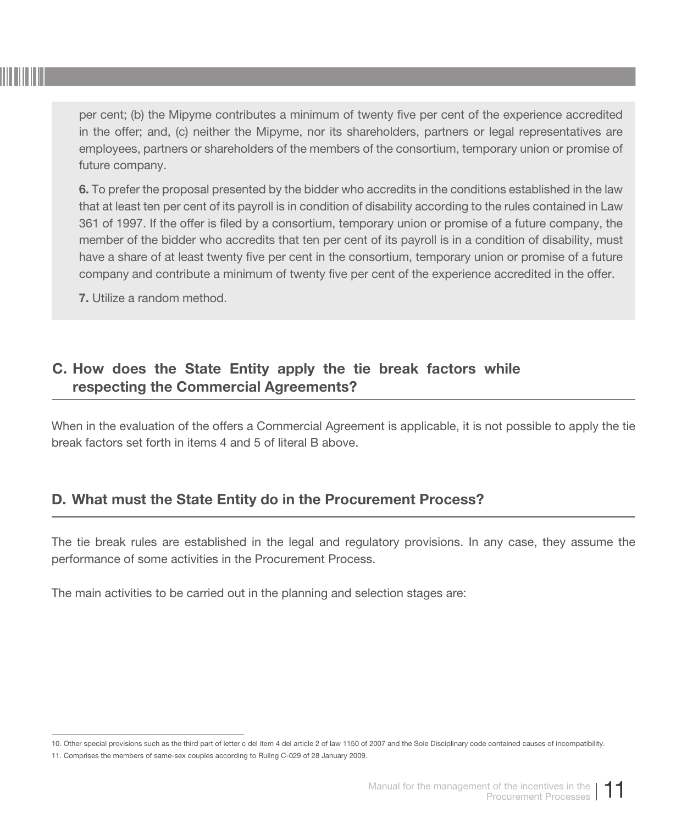per cent; (b) the Mipyme contributes a minimum of twenty five per cent of the experience accredited in the offer; and, (c) neither the Mipyme, nor its shareholders, partners or legal representatives are employees, partners or shareholders of the members of the consortium, temporary union or promise of future company.

6. To prefer the proposal presented by the bidder who accredits in the conditions established in the law that at least ten per cent of its payroll is in condition of disability according to the rules contained in Law 361 of 1997. If the offer is filed by a consortium, temporary union or promise of a future company, the member of the bidder who accredits that ten per cent of its payroll is in a condition of disability, must have a share of at least twenty five per cent in the consortium, temporary union or promise of a future company and contribute a minimum of twenty five per cent of the experience accredited in the offer.

7. Utilize a random method.

# C. How does the State Entity apply the tie break factors while respecting the Commercial Agreements?

When in the evaluation of the offers a Commercial Agreement is applicable, it is not possible to apply the tie break factors set forth in items 4 and 5 of literal B above.

# D. What must the State Entity do in the Procurement Process?

The tie break rules are established in the legal and regulatory provisions. In any case, they assume the performance of some activities in the Procurement Process.

The main activities to be carried out in the planning and selection stages are:

<sup>10.</sup> Other special provisions such as the third part of letter c del item 4 del article 2 of law 1150 of 2007 and the Sole Disciplinary code contained causes of incompatibility.

<sup>11.</sup> Comprises the members of same-sex couples according to Ruling C-029 of 28 January 2009.